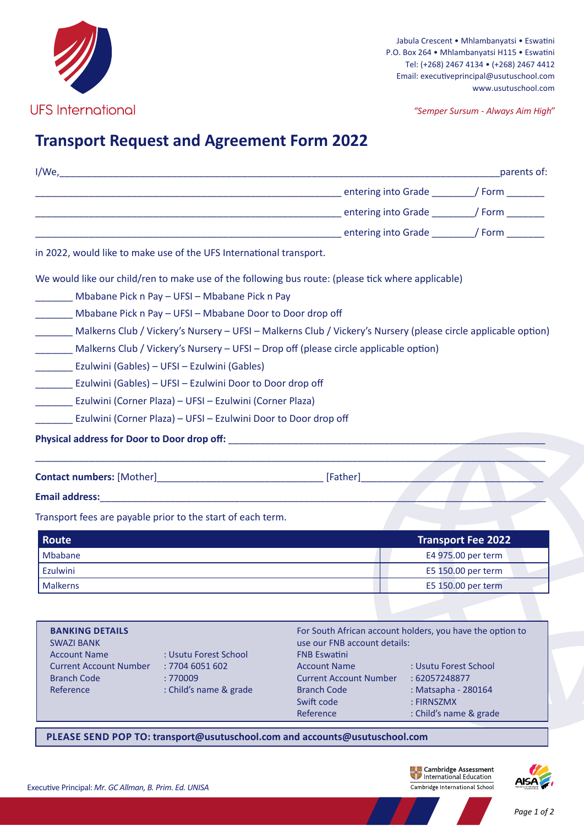

Jabula Crescent • Mhlambanyatsi • Eswatini P.O. Box 264 • Mhlambanyatsi H115 • Eswatini Tel: (+268) 2467 4134 • (+268) 2467 4412 Email: executiveprincipal@usutuschool.com www.usutuschool.com

*"Semper Sursum - Always Aim High"*

## **Transport Request and Agreement Form 2022**

|                                                                            |                                                                 |                                                                                                                       |                                                               | parents of:                                     |
|----------------------------------------------------------------------------|-----------------------------------------------------------------|-----------------------------------------------------------------------------------------------------------------------|---------------------------------------------------------------|-------------------------------------------------|
|                                                                            |                                                                 | <b>Maritain Contract Contract Contract Contract Contract Contract Contract Contract Contract Contract Contract Co</b> |                                                               |                                                 |
|                                                                            |                                                                 | <b>Maritain Contract Contract Contract Contract Contract Contract Contract Contract Contract Contract Contract Co</b> |                                                               |                                                 |
|                                                                            |                                                                 | <b>Maria Contract Contract Contract Contract Contract Contract Contract Contract Contract Contract Contract Contr</b> |                                                               |                                                 |
| in 2022, would like to make use of the UFS International transport.        |                                                                 |                                                                                                                       |                                                               |                                                 |
|                                                                            |                                                                 | We would like our child/ren to make use of the following bus route: (please tick where applicable)                    |                                                               |                                                 |
|                                                                            | Mbabane Pick n Pay - UFSI - Mbabane Pick n Pay                  |                                                                                                                       |                                                               |                                                 |
|                                                                            | Mbabane Pick n Pay - UFSI - Mbabane Door to Door drop off       |                                                                                                                       |                                                               |                                                 |
|                                                                            |                                                                 | Malkerns Club / Vickery's Nursery - UFSI - Malkerns Club / Vickery's Nursery (please circle applicable option)        |                                                               |                                                 |
|                                                                            |                                                                 | Malkerns Club / Vickery's Nursery - UFSI - Drop off (please circle applicable option)                                 |                                                               |                                                 |
| Ezulwini (Gables) – UFSI – Ezulwini (Gables)                               |                                                                 |                                                                                                                       |                                                               |                                                 |
|                                                                            | Ezulwini (Gables) - UFSI - Ezulwini Door to Door drop off       |                                                                                                                       |                                                               |                                                 |
|                                                                            | Ezulwini (Corner Plaza) – UFSI – Ezulwini (Corner Plaza)        |                                                                                                                       |                                                               |                                                 |
|                                                                            | Ezulwini (Corner Plaza) – UFSI – Ezulwini Door to Door drop off |                                                                                                                       |                                                               |                                                 |
|                                                                            |                                                                 | Physical address for Door to Door drop off: National Physical address for Door to Door drop off:                      |                                                               |                                                 |
|                                                                            |                                                                 |                                                                                                                       |                                                               |                                                 |
|                                                                            |                                                                 |                                                                                                                       |                                                               |                                                 |
|                                                                            |                                                                 |                                                                                                                       |                                                               |                                                 |
| Transport fees are payable prior to the start of each term.                |                                                                 |                                                                                                                       |                                                               |                                                 |
|                                                                            |                                                                 |                                                                                                                       |                                                               |                                                 |
| <b>Route</b><br>Mbabane                                                    |                                                                 |                                                                                                                       |                                                               | <b>Transport Fee 2022</b><br>E4 975.00 per term |
| Ezulwini                                                                   |                                                                 |                                                                                                                       |                                                               | E5 150.00 per term                              |
| <b>Malkerns</b>                                                            |                                                                 |                                                                                                                       |                                                               | E5 150.00 per term                              |
|                                                                            |                                                                 |                                                                                                                       |                                                               |                                                 |
| <b>BANKING DETAILS</b><br><b>SWAZI BANK</b>                                | use our FNB account details:                                    | For South African account holders, you have the option to                                                             |                                                               |                                                 |
| <b>Account Name</b><br><b>Current Account Number</b><br><b>Branch Code</b> | : Usutu Forest School<br>: 7704 6051 602<br>: 770009            | <b>FNB Eswatini</b><br><b>Account Name</b><br><b>Current Account Number</b>                                           | : Usutu Forest School<br>: 62057248877<br>: Matsapha - 280164 |                                                 |

**PLEASE SEND POP TO: transport@usutuschool.com and accounts@usutuschool.com**